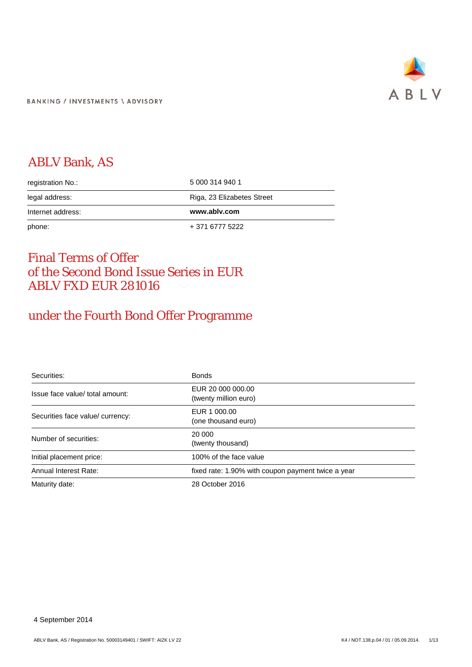

# ABLV Bank, AS

| registration No.: | 5 000 314 940 1            |
|-------------------|----------------------------|
| legal address:    | Riga, 23 Elizabetes Street |
| Internet address: | www.ablv.com               |
| phone:            | + 371 6777 5222            |

# Final Terms of Offer of the Second Bond Issue Series in EUR ABLV FXD EUR 281016

# under the Fourth Bond Offer Programme

| Securities:                      | <b>Bonds</b>                                       |
|----------------------------------|----------------------------------------------------|
| Issue face value/ total amount:  | EUR 20 000 000.00<br>(twenty million euro)         |
| Securities face value/ currency: | EUR 1 000.00<br>(one thousand euro)                |
| Number of securities:            | 20 000<br>(twenty thousand)                        |
| Initial placement price:         | 100% of the face value                             |
| Annual Interest Rate:            | fixed rate: 1.90% with coupon payment twice a year |
| Maturity date:                   | 28 October 2016                                    |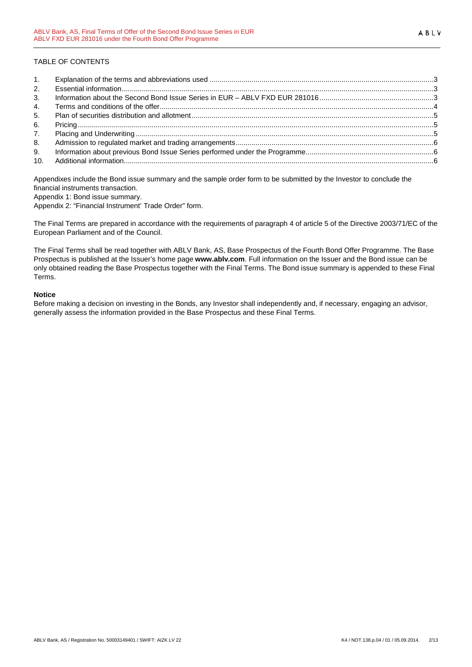# TABLE OF CONTENTS

| 1.             |  |
|----------------|--|
| 2.             |  |
| 3 <sub>1</sub> |  |
| 4.             |  |
| 5.             |  |
| 6.             |  |
| 7 <sub>1</sub> |  |
| 8.             |  |
| 9.             |  |
|                |  |

Appendixes include the Bond issue summary and the sample order form to be submitted by the Investor to conclude the financial instruments transaction.

Appendix 1: Bond issue summary.

Appendix 2: "Financial Instrument' Trade Order" form.

The Final Terms are prepared in accordance with the requirements of paragraph 4 of article 5 of the Directive 2003/71/EC of the European Parliament and of the Council.

The Final Terms shall be read together with ABLV Bank, AS, Base Prospectus of the Fourth Bond Offer Programme. The Base Prospectus is published at the Issuer's home page **www.ablv.com**. Full information on the Issuer and the Bond issue can be only obtained reading the Base Prospectus together with the Final Terms. The Bond issue summary is appended to these Final Terms.

# **Notice**

Before making a decision on investing in the Bonds, any Investor shall independently and, if necessary, engaging an advisor, generally assess the information provided in the Base Prospectus and these Final Terms.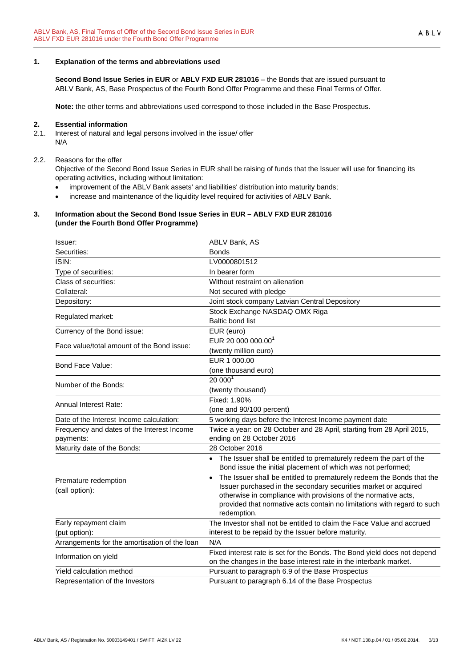#### <span id="page-2-0"></span>**1. Explanation of the terms and abbreviations used**

**Second Bond Issue Series in EUR** or **ABLV FXD EUR 281016** – the Bonds that are issued pursuant to ABLV Bank, AS, Base Prospectus of the Fourth Bond Offer Programme and these Final Terms of Offer.

**Note:** the other terms and abbreviations used correspond to those included in the Base Prospectus.

#### <span id="page-2-1"></span>**2. Essential information**

2.1. Interest of natural and legal persons involved in the issue/ offer N/A

#### 2.2. Reasons for the offer

Objective of the Second Bond Issue Series in EUR shall be raising of funds that the Issuer will use for financing its operating activities, including without limitation:

- improvement of the ABLV Bank assets' and liabilities' distribution into maturity bands;
- increase and maintenance of the liquidity level required for activities of ABLV Bank.

#### <span id="page-2-2"></span>**3. Information about the Second Bond Issue Series in EUR – ABLV FXD EUR 281016 (under the Fourth Bond Offer Programme)**

| Issuer:                                                 | ABLV Bank, AS                                                                                                                                                                                                               |
|---------------------------------------------------------|-----------------------------------------------------------------------------------------------------------------------------------------------------------------------------------------------------------------------------|
| Securities:                                             | <b>Bonds</b>                                                                                                                                                                                                                |
| ISIN:                                                   | LV0000801512                                                                                                                                                                                                                |
| Type of securities:                                     | In bearer form                                                                                                                                                                                                              |
| Class of securities:                                    | Without restraint on alienation                                                                                                                                                                                             |
| Collateral:                                             | Not secured with pledge                                                                                                                                                                                                     |
| Depository:                                             | Joint stock company Latvian Central Depository                                                                                                                                                                              |
| Regulated market:                                       | Stock Exchange NASDAQ OMX Riga                                                                                                                                                                                              |
|                                                         | <b>Baltic bond list</b>                                                                                                                                                                                                     |
| Currency of the Bond issue:                             | EUR (euro)                                                                                                                                                                                                                  |
| Face value/total amount of the Bond issue:              | EUR 20 000 000.00 <sup>1</sup>                                                                                                                                                                                              |
|                                                         | (twenty million euro)                                                                                                                                                                                                       |
| Bond Face Value:                                        | EUR 1 000.00                                                                                                                                                                                                                |
|                                                         | (one thousand euro)                                                                                                                                                                                                         |
| Number of the Bonds:                                    | $20000$ <sup>1</sup>                                                                                                                                                                                                        |
|                                                         | (twenty thousand)                                                                                                                                                                                                           |
| <b>Annual Interest Rate:</b>                            | Fixed: 1.90%                                                                                                                                                                                                                |
|                                                         | (one and 90/100 percent)                                                                                                                                                                                                    |
| Date of the Interest Income calculation:                | 5 working days before the Interest Income payment date                                                                                                                                                                      |
| Frequency and dates of the Interest Income<br>payments: | Twice a year: on 28 October and 28 April, starting from 28 April 2015,<br>ending on 28 October 2016                                                                                                                         |
| Maturity date of the Bonds:                             | 28 October 2016                                                                                                                                                                                                             |
|                                                         | • The Issuer shall be entitled to prematurely redeem the part of the<br>Bond issue the initial placement of which was not performed;<br>The Issuer shall be entitled to prematurely redeem the Bonds that the               |
| Premature redemption<br>(call option):                  | Issuer purchased in the secondary securities market or acquired<br>otherwise in compliance with provisions of the normative acts,<br>provided that normative acts contain no limitations with regard to such<br>redemption. |
| Early repayment claim                                   | The Investor shall not be entitled to claim the Face Value and accrued                                                                                                                                                      |
| (put option):                                           | interest to be repaid by the Issuer before maturity.                                                                                                                                                                        |
| Arrangements for the amortisation of the loan           | N/A                                                                                                                                                                                                                         |
| Information on yield                                    | Fixed interest rate is set for the Bonds. The Bond yield does not depend<br>on the changes in the base interest rate in the interbank market.                                                                               |
| Yield calculation method                                | Pursuant to paragraph 6.9 of the Base Prospectus                                                                                                                                                                            |
| Representation of the Investors                         | Pursuant to paragraph 6.14 of the Base Prospectus                                                                                                                                                                           |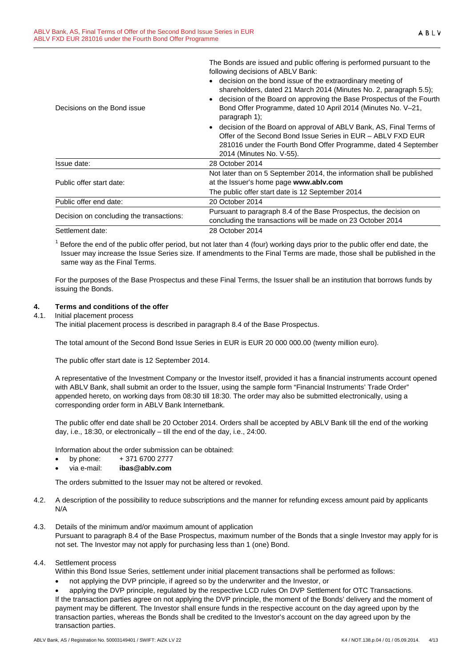The Bonds are issued and public offering is performed pursuant to the following decisions of ABLV Bank:

| Decisions on the Bond issue              | • decision on the bond issue of the extraordinary meeting of<br>shareholders, dated 21 March 2014 (Minutes No. 2, paragraph 5.5);<br>• decision of the Board on approving the Base Prospectus of the Fourth<br>Bond Offer Programme, dated 10 April 2014 (Minutes No. V-21,<br>paragraph 1); |
|------------------------------------------|----------------------------------------------------------------------------------------------------------------------------------------------------------------------------------------------------------------------------------------------------------------------------------------------|
|                                          | • decision of the Board on approval of ABLV Bank, AS, Final Terms of<br>Offer of the Second Bond Issue Series in EUR - ABLV FXD EUR<br>281016 under the Fourth Bond Offer Programme, dated 4 September<br>2014 (Minutes No. V-55).                                                           |
| Issue date:                              | 28 October 2014                                                                                                                                                                                                                                                                              |
| Public offer start date:                 | Not later than on 5 September 2014, the information shall be published<br>at the Issuer's home page www.ablv.com<br>The public offer start date is 12 September 2014                                                                                                                         |
| Public offer end date:                   | 20 October 2014                                                                                                                                                                                                                                                                              |
| Decision on concluding the transactions: | Pursuant to paragraph 8.4 of the Base Prospectus, the decision on<br>concluding the transactions will be made on 23 October 2014                                                                                                                                                             |
| Settlement date:                         | 28 October 2014                                                                                                                                                                                                                                                                              |

 $<sup>1</sup>$  Before the end of the public offer period, but not later than 4 (four) working days prior to the public offer end date, the</sup> Issuer may increase the Issue Series size. If amendments to the Final Terms are made, those shall be published in the same way as the Final Terms.

For the purposes of the Base Prospectus and these Final Terms, the Issuer shall be an institution that borrows funds by issuing the Bonds.

# <span id="page-3-0"></span>**4. Terms and conditions of the offer**

# 4.1. Initial placement process

The initial placement process is described in paragraph 8.4 of the Base Prospectus.

The total amount of the Second Bond Issue Series in EUR is EUR 20 000 000.00 (twenty million euro).

The public offer start date is 12 September 2014.

A representative of the Investment Company or the Investor itself, provided it has a financial instruments account opened with ABLV Bank, shall submit an order to the Issuer, using the sample form "Financial Instruments' Trade Order" appended hereto, on working days from 08:30 till 18:30. The order may also be submitted electronically, using a corresponding order form in ABLV Bank Internetbank.

The public offer end date shall be 20 October 2014. Orders shall be accepted by ABLV Bank till the end of the working day, i.e., 18:30, or electronically – till the end of the day, i.e., 24:00.

Information about the order submission can be obtained:

- by phone:  $+371\,6700\,2777$
- via e-mail: **ibas@ablv.com**

The orders submitted to the Issuer may not be altered or revoked.

- 4.2. A description of the possibility to reduce subscriptions and the manner for refunding excess amount paid by applicants N/A
- 4.3. Details of the minimum and/or maximum amount of application Pursuant to paragraph 8.4 of the Base Prospectus, maximum number of the Bonds that a single Investor may apply for is not set. The Investor may not apply for purchasing less than 1 (one) Bond.

#### 4.4. Settlement process

Within this Bond Issue Series, settlement under initial placement transactions shall be performed as follows:

• not applying the DVP principle, if agreed so by the underwriter and the Investor, or

• applying the DVP principle, regulated by the respective LCD rules On DVP Settlement for OTC Transactions. If the transaction parties agree on not applying the DVP principle, the moment of the Bonds' delivery and the moment of payment may be different. The Investor shall ensure funds in the respective account on the day agreed upon by the transaction parties, whereas the Bonds shall be credited to the Investor's account on the day agreed upon by the transaction parties.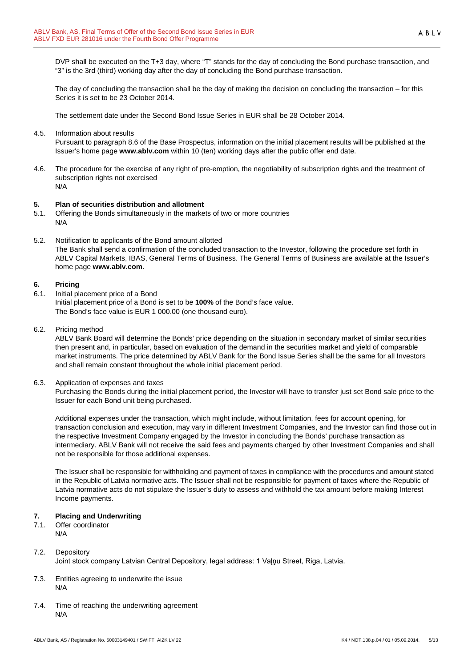The day of concluding the transaction shall be the day of making the decision on concluding the transaction – for this Series it is set to be 23 October 2014.

The settlement date under the Second Bond Issue Series in EUR shall be 28 October 2014.

4.5. Information about results

Pursuant to paragraph 8.6 of the Base Prospectus, information on the initial placement results will be published at the Issuer's home page **www.ablv.com** within 10 (ten) working days after the public offer end date.

4.6. The procedure for the exercise of any right of pre-emption, the negotiability of subscription rights and the treatment of subscription rights not exercised N/A

# <span id="page-4-0"></span>**5. Plan of securities distribution and allotment**

- 5.1. Offering the Bonds simultaneously in the markets of two or more countries N/A
- 5.2. Notification to applicants of the Bond amount allotted The Bank shall send a confirmation of the concluded transaction to the Investor, following the procedure set forth in ABLV Capital Markets, IBAS, General Terms of Business. The General Terms of Business are available at the Issuer's home page **[www.ablv.com](http://www.ablv.com/)**.

# <span id="page-4-1"></span>**6. Pricing**

- 6.1. Initial placement price of a Bond Initial placement price of a Bond is set to be **100%** of the Bond's face value. The Bond's face value is EUR 1 000.00 (one thousand euro).
- 6.2. Pricing method

ABLV Bank Board will determine the Bonds' price depending on the situation in secondary market of similar securities then present and, in particular, based on evaluation of the demand in the securities market and yield of comparable market instruments. The price determined by ABLV Bank for the Bond Issue Series shall be the same for all Investors and shall remain constant throughout the whole initial placement period.

6.3. Application of expenses and taxes

Purchasing the Bonds during the initial placement period, the Investor will have to transfer just set Bond sale price to the Issuer for each Bond unit being purchased.

Additional expenses under the transaction, which might include, without limitation, fees for account opening, for transaction conclusion and execution, may vary in different Investment Companies, and the Investor can find those out in the respective Investment Company engaged by the Investor in concluding the Bonds' purchase transaction as intermediary. ABLV Bank will not receive the said fees and payments charged by other Investment Companies and shall not be responsible for those additional expenses.

The Issuer shall be responsible for withholding and payment of taxes in compliance with the procedures and amount stated in the Republic of Latvia normative acts. The Issuer shall not be responsible for payment of taxes where the Republic of Latvia normative acts do not stipulate the Issuer's duty to assess and withhold the tax amount before making Interest Income payments.

#### <span id="page-4-2"></span>**7. Placing and Underwriting**

7.1. Offer coordinator N/A

- 7.2. Depository Joint stock company Latvian Central Depository, legal address: 1 Vaļņu Street, Riga, Latvia.
- 7.3. Entities agreeing to underwrite the issue N/A
- 7.4. Time of reaching the underwriting agreement N/A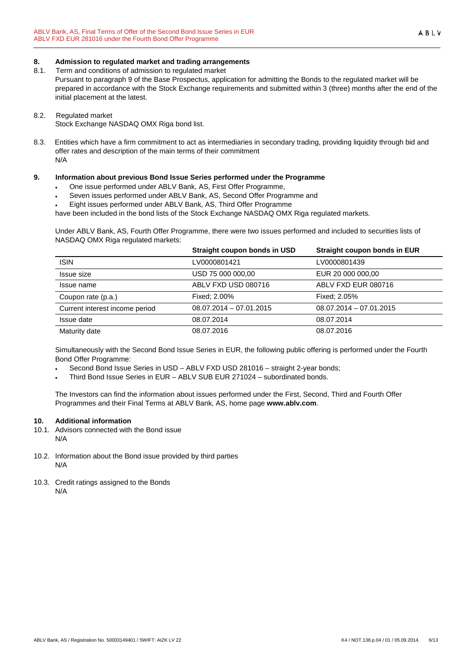## <span id="page-5-0"></span>**8. Admission to regulated market and trading arrangements**

8.1. Term and conditions of admission to regulated market

Pursuant to paragraph 9 of the Base Prospectus, application for admitting the Bonds to the regulated market will be prepared in accordance with the Stock Exchange requirements and submitted within 3 (three) months after the end of the initial placement at the latest.

#### 8.2. Regulated market

Stock Exchange NASDAQ OMX Riga bond list.

8.3. Entities which have a firm commitment to act as intermediaries in secondary trading, providing liquidity through bid and offer rates and description of the main terms of their commitment N/A

# <span id="page-5-1"></span>**9. Information about previous Bond Issue Series performed under the Programme**

- One issue performed under ABLV Bank, AS, First Offer Programme,
- Seven issues performed under ABLV Bank, AS, Second Offer Programme and
- Eight issues performed under ABLV Bank, AS, Third Offer Programme

have been included in the bond lists of the Stock Exchange NASDAQ OMX Riga regulated markets.

Under ABLV Bank, AS, Fourth Offer Programme, there were two issues performed and included to securities lists of NASDAQ OMX Riga regulated markets:

|                                | Straight coupon bonds in USD | Straight coupon bonds in EUR |
|--------------------------------|------------------------------|------------------------------|
| <b>ISIN</b>                    | LV0000801421                 | LV0000801439                 |
| Issue size                     | USD 75 000 000,00            | EUR 20 000 000.00            |
| Issue name                     | ABLV FXD USD 080716          | ABLV FXD EUR 080716          |
| Coupon rate (p.a.)             | Fixed: 2.00%                 | Fixed: 2.05%                 |
| Current interest income period | $08.07.2014 - 07.01.2015$    | $08.07.2014 - 07.01.2015$    |
| Issue date                     | 08.07.2014                   | 08.07.2014                   |
| Maturity date                  | 08.07.2016                   | 08.07.2016                   |

Simultaneously with the Second Bond Issue Series in EUR, the following public offering is performed under the Fourth Bond Offer Programme:

• Second Bond Issue Series in USD – ABLV FXD USD 281016 – straight 2-year bonds;

• Third Bond Issue Series in EUR – ABLV SUB EUR 271024 – subordinated bonds.

The Investors can find the information about issues performed under the First, Second, Third and Fourth Offer Programmes and their Final Terms at ABLV Bank, AS, home page **[www.ablv.com](http://www.ablv.com/)**.

# <span id="page-5-2"></span>**10. Additional information**

- 10.1. Advisors connected with the Bond issue N/A
- 10.2. Information about the Bond issue provided by third parties N/A
- 10.3. Credit ratings assigned to the Bonds N/A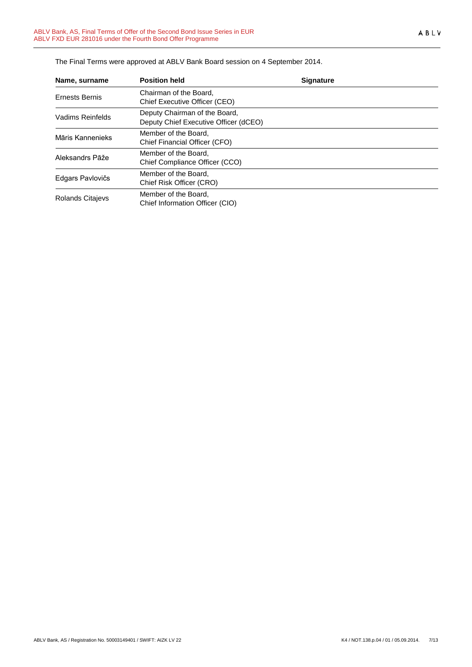| Name, surname         | <b>Position held</b>                                                   | <b>Signature</b> |  |
|-----------------------|------------------------------------------------------------------------|------------------|--|
| <b>Ernests Bernis</b> | Chairman of the Board.<br>Chief Executive Officer (CEO)                |                  |  |
| Vadims Reinfelds      | Deputy Chairman of the Board,<br>Deputy Chief Executive Officer (dCEO) |                  |  |
| Māris Kannenieks      | Member of the Board.<br>Chief Financial Officer (CFO)                  |                  |  |
| Aleksandrs Pāže       | Member of the Board.<br>Chief Compliance Officer (CCO)                 |                  |  |
| Edgars Pavlovičs      | Member of the Board.<br>Chief Risk Officer (CRO)                       |                  |  |
| Rolands Citajevs      | Member of the Board.<br>Chief Information Officer (CIO)                |                  |  |

The Final Terms were approved at ABLV Bank Board session on 4 September 2014.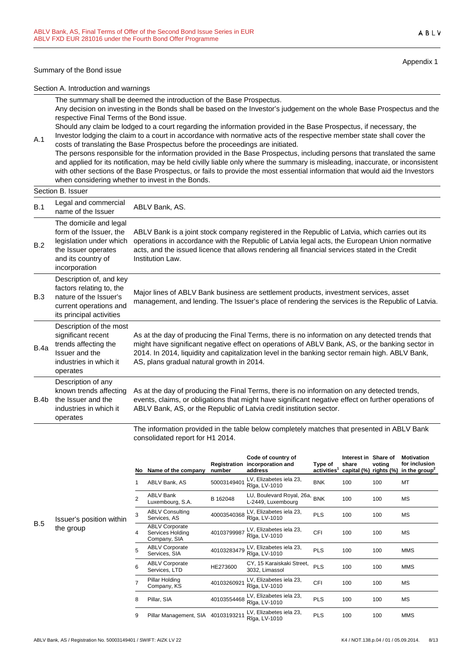#### Summary of the Bond issue

A.1

Appendix 1

Section A. Introduction and warnings

The summary shall be deemed the introduction of the Base Prospectus. Any decision on investing in the Bonds shall be based on the Investor's judgement on the whole Base Prospectus and the respective Final Terms of the Bond issue.

Should any claim be lodged to a court regarding the information provided in the Base Prospectus, if necessary, the Investor lodging the claim to a court in accordance with normative acts of the respective member state shall cover the

costs of translating the Base Prospectus before the proceedings are initiated. The persons responsible for the information provided in the Base Prospectus, including persons that translated the same and applied for its notification, may be held civilly liable only where the summary is misleading, inaccurate, or inconsistent with other sections of the Base Prospectus, or fails to provide the most essential information that would aid the Investors when considering whether to invest in the Bonds.

#### Section B. Issuer B.1 Legal and commercial Legal and commercial ABLV Bank, AS.<br>name of the Issuer B.2 The domicile and legal form of the Issuer, the legislation under which the Issuer operates and its country of incorporation ABLV Bank is a joint stock company registered in the Republic of Latvia, which carries out its operations in accordance with the Republic of Latvia legal acts, the European Union normative acts, and the issued licence that allows rendering all financial services stated in the Credit Institution Law. B.3 Description of, and key factors relating to, the nature of the Issuer's current operations and its principal activities Major lines of ABLV Bank business are settlement products, investment services, asset management, and lending. The Issuer's place of rendering the services is the Republic of Latvia. B.4a Description of the most significant recent trends affecting the Issuer and the industries in which it operates As at the day of producing the Final Terms, there is no information on any detected trends that might have significant negative effect on operations of ABLV Bank, AS, or the banking sector in 2014. In 2014, liquidity and capitalization level in the banking sector remain high. ABLV Bank, AS, plans gradual natural growth in 2014. B.4b Description of any known trends affecting the Issuer and the industries in which it operates As at the day of producing the Final Terms, there is no information on any detected trends, events, claims, or obligations that might have significant negative effect on further operations of ABLV Bank, AS, or the Republic of Latvia credit institution sector.

The information provided in the table below completely matches that presented in ABLV Bank consolidated report for H1 2014.

|   |                | No Name of the company                                    | Registration<br>number | Code of country of<br>incorporation and<br>address | Type of<br>activities <sup>1</sup> | Interest in<br>share<br>capital (%) rights (%) | Share of<br>voting | <b>Motivation</b><br>for inclusion<br>in the group <sup>2</sup> |
|---|----------------|-----------------------------------------------------------|------------------------|----------------------------------------------------|------------------------------------|------------------------------------------------|--------------------|-----------------------------------------------------------------|
|   | 1              | ABLV Bank, AS                                             | 50003149401            | LV, Elizabetes iela 23,<br>Rīga, LV-1010           | <b>BNK</b>                         | 100                                            | 100                | MT                                                              |
|   | $\mathfrak{p}$ | <b>ABLV Bank</b><br>Luxembourg, S.A.                      | B 162048               | LU, Boulevard Royal, 26a,<br>L-2449, Luxembourg    | <b>BNK</b>                         | 100                                            | 100                | МS                                                              |
| n | 3              | <b>ABLV Consulting</b><br>Services, AS                    | 40003540368            | LV, Elizabetes iela 23,<br>Rīga, LV-1010           | <b>PLS</b>                         | 100                                            | 100                | МS                                                              |
|   | 4              | <b>ABLV Corporate</b><br>Services Holding<br>Company, SIA | 40103799987            | LV, Elizabetes iela 23,<br>Rīga, LV-1010           | <b>CFI</b>                         | 100                                            | 100                | МS                                                              |
|   | 5              | <b>ABLV Corporate</b><br>Services, SIA                    | 40103283479            | LV, Elizabetes iela 23,<br>Rīga, LV-1010           | <b>PLS</b>                         | 100                                            | 100                | <b>MMS</b>                                                      |
|   | 6              | <b>ABLV Corporate</b><br>Services, LTD                    | HE273600               | CY, 15 Karaiskaki Street,<br>3032, Limassol        | <b>PLS</b>                         | 100                                            | 100                | <b>MMS</b>                                                      |
|   | 7              | Pillar Holding<br>Company, KS                             | 40103260921            | LV, Elizabetes iela 23,<br>Rīga, LV-1010           | <b>CFI</b>                         | 100                                            | 100                | <b>MS</b>                                                       |
|   | 8              | Pillar, SIA                                               | 40103554468            | LV, Elizabetes iela 23,<br>Rīga, LV-1010           | <b>PLS</b>                         | 100                                            | 100                | МS                                                              |
|   | 9              | Pillar Management, SIA                                    | 40103193211            | LV, Elizabetes iela 23,<br>Rīga, LV-1010           | <b>PLS</b>                         | 100                                            | 100                | <b>MMS</b>                                                      |

B.5 Issuer's position within the group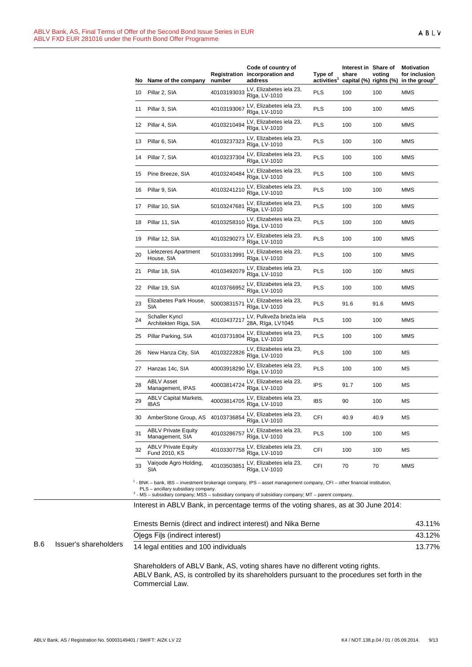| No | Name of the company                           | number      | Code of country of<br>Registration incorporation and<br>address | Type of<br>activities | Interest in Share of<br>share | voting<br>capital (%) rights (%) | Motivation<br>for inclusion<br>in the group <sup>4</sup> |
|----|-----------------------------------------------|-------------|-----------------------------------------------------------------|-----------------------|-------------------------------|----------------------------------|----------------------------------------------------------|
| 10 | Pillar 2, SIA                                 | 40103193033 | LV, Elizabetes iela 23,<br>Rīga, LV-1010                        | <b>PLS</b>            | 100                           | 100                              | <b>MMS</b>                                               |
| 11 | Pillar 3, SIA                                 | 40103193067 | LV, Elizabetes iela 23,<br>Rīga, LV-1010                        | PLS                   | 100                           | 100                              | MMS                                                      |
| 12 | Pillar 4, SIA                                 | 40103210494 | LV, Elizabetes iela 23,<br>Rīga, LV-1010                        | PLS                   | 100                           | 100                              | MMS                                                      |
| 13 | Pillar 6, SIA                                 | 40103237323 | LV, Elizabetes iela 23,<br>Rīga, LV-1010                        | PLS                   | 100                           | 100                              | MMS                                                      |
| 14 | Pillar 7, SIA                                 | 40103237304 | LV, Elizabetes iela 23,<br>Rīga, LV-1010                        | PLS                   | 100                           | 100                              | MMS                                                      |
| 15 | Pine Breeze, SIA                              | 40103240484 | LV, Elizabetes iela 23,<br>Rīga, LV-1010                        | PLS                   | 100                           | 100                              | MMS                                                      |
| 16 | Pillar 9, SIA                                 | 40103241210 | LV, Elizabetes iela 23,<br>Rīga, LV-1010                        | PLS                   | 100                           | 100                              | MMS                                                      |
| 17 | Pillar 10, SIA                                | 50103247681 | LV, Elizabetes iela 23,<br>Rīga, LV-1010                        | PLS                   | 100                           | 100                              | MMS                                                      |
| 18 | Pillar 11, SIA                                | 40103258310 | LV, Elizabetes iela 23,<br>Rīga, LV-1010                        | PLS                   | 100                           | 100                              | MMS                                                      |
| 19 | Pillar 12, SIA                                | 40103290273 | LV, Elizabetes iela 23,<br>Rīga, LV-1010                        | PLS                   | 100                           | 100                              | MMS                                                      |
| 20 | Lielezeres Apartment<br>House, SIA            | 50103313991 | LV, Elizabetes iela 23,<br>Rīga, LV-1010                        | PLS                   | 100                           | 100                              | <b>MMS</b>                                               |
| 21 | Pillar 18, SIA                                | 40103492079 | LV, Elizabetes iela 23,<br>Rīga, LV-1010                        | PLS                   | 100                           | 100                              | MMS                                                      |
| 22 | Pillar 19, SIA                                | 40103766952 | LV, Elizabetes iela 23,<br>Rīga, LV-1010                        | PLS                   | 100                           | 100                              | MMS                                                      |
| 23 | Elizabetes Park House,<br>SIA                 | 50003831571 | LV, Elizabetes iela 23,<br>Rīga, LV-1010                        | PLS                   | 91.6                          | 91.6                             | MMS                                                      |
| 24 | Schaller Kyncl<br>Architekten Riga, SIA       | 40103437217 | LV, Pulkveža brieža iela<br>28A, Rīga, LV1045                   | PLS                   | 100                           | 100                              | MMS                                                      |
| 25 | Pillar Parking, SIA                           | 40103731804 | LV, Elizabetes iela 23,<br>Rīga, LV-1010                        | PLS                   | 100                           | 100                              | MMS                                                      |
| 26 | New Hanza City, SIA                           | 40103222826 | LV, Elizabetes iela 23,<br>Rīga, LV-1010                        | PLS                   | 100                           | 100                              | МS                                                       |
| 27 | Hanzas 14c, SIA                               | 40003918290 | LV, Elizabetes iela 23,<br>Rīga, LV-1010                        | PLS                   | 100                           | 100                              | МS                                                       |
| 28 | <b>ABLV Asset</b><br>Management, IPAS         | 40003814724 | LV, Elizabetes iela 23,<br>Rīga, LV-1010                        | IPS                   | 91.7                          | 100                              | МS                                                       |
| 29 | <b>ABLV Capital Markets,</b><br><b>IBAS</b>   | 40003814705 | LV, Elizabetes iela 23,<br>Rīga, LV-1010                        | IBS                   | 90                            | 100                              | МS                                                       |
| 30 | AmberStone Group, AS 40103736854              |             | LV, Elizabetes iela 23,<br>Rīga, LV-1010                        | CFI                   | 40.9                          | 40.9                             | МS                                                       |
| 31 | <b>ABLV Private Equity</b><br>Management, SIA | 40103286757 | LV, Elizabetes iela 23,<br>Rīga, LV-1010                        | PLS                   | 100                           | 100                              | МS                                                       |
| 32 | <b>ABLV Private Equity</b><br>Fund 2010, KS   | 40103307758 | LV, Elizabetes iela 23,<br>Rīga, LV-1010                        | CFI                   | 100                           | 100                              | МS                                                       |
| 33 | Vainode Agro Holding,<br>SIA                  | 40103503851 | LV, Elizabetes iela 23,<br>Rīga, LV-1010                        | CFI                   | 70                            | 70                               | MMS                                                      |

<sup>1</sup> - BNK – bank, IBS – investment brokerage company, IPS – asset management company, CFI – other financial institution,

PLS – ancillary subsidiary company.<br><sup>2</sup> - MS – subsidiary company; MSS – subsidiary company of subsidiary company; MT – parent company.

Interest in ABLV Bank, in percentage terms of the voting shares, as at 30 June 2014:

|            |                       | Ernests Bernis (direct and indirect interest) and Nika Berne | 43.11% |
|------------|-----------------------|--------------------------------------------------------------|--------|
|            |                       | Olegs Fils (indirect interest)                               | 43.12% |
| <b>B.6</b> | Issuer's shareholders | 14 legal entities and 100 individuals                        | 13.77% |

Shareholders of ABLV Bank, AS, voting shares have no different voting rights. ABLV Bank, AS, is controlled by its shareholders pursuant to the procedures set forth in the Commercial Law.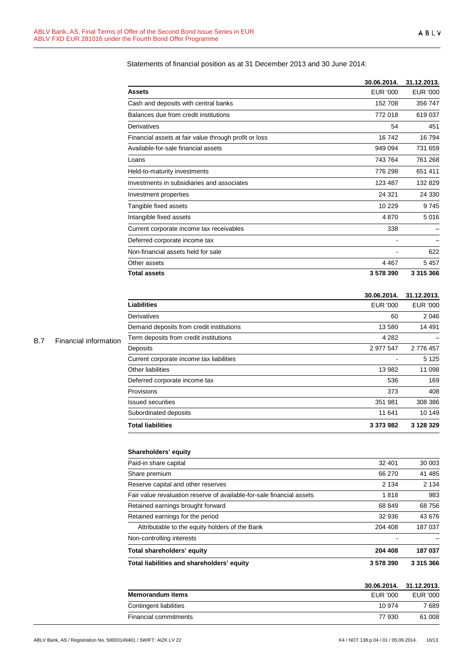Statements of financial position as at 31 December 2013 and 30 June 2014:

|                                                       | 30.06.2014. | 31.12.2013.   |
|-------------------------------------------------------|-------------|---------------|
| <b>Assets</b>                                         | EUR '000    | EUR '000      |
| Cash and deposits with central banks                  | 152 708     | 356747        |
| Balances due from credit institutions                 | 772 018     | 619037        |
| Derivatives                                           | 54          | 451           |
| Financial assets at fair value through profit or loss | 16742       | 16794         |
| Available-for-sale financial assets                   | 949 094     | 731 659       |
| Loans                                                 | 743764      | 761 268       |
| Held-to-maturity investments                          | 776 298     | 651 411       |
| Investments in subsidiaries and associates            | 123 487     | 132829        |
| Investment properties                                 | 24 321      | 24 3 30       |
| Tangible fixed assets                                 | 10 229      | 9745          |
| Intangible fixed assets                               | 4870        | 5016          |
| Current corporate income tax receivables              | 338         |               |
| Deferred corporate income tax                         |             |               |
| Non-financial assets held for sale                    |             | 622           |
| Other assets                                          | 4 4 6 7     | 5457          |
| <b>Total assets</b>                                   | 3578390     | 3 3 1 5 3 6 6 |

#### **30.06.2014. 31.12.2013.**

| <b>Liabilities</b>                       | EUR '000  | EUR '000  |
|------------------------------------------|-----------|-----------|
| Derivatives                              | 60        | 2046      |
| Demand deposits from credit institutions | 13 580    | 14 4 91   |
| Term deposits from credit institutions   | 4 2 8 2   |           |
| Deposits                                 | 2 977 547 | 2 776 457 |
| Current corporate income tax liabilities |           | 5 1 2 5   |
| Other liabilities                        | 13 982    | 11 098    |
| Deferred corporate income tax            | 536       | 169       |
| Provisions                               | 373       | 408       |
| <b>Issued securities</b>                 | 351 981   | 308 386   |
| Subordinated deposits                    | 11 641    | 10 149    |
| <b>Total liabilities</b>                 | 3 373 982 | 3 128 329 |

# **Shareholders' equity**

| Total liabilities and shareholders' equity                            | 3578390 | 3 315 366 |  |
|-----------------------------------------------------------------------|---------|-----------|--|
| Total shareholders' equity                                            | 204 408 | 187 037   |  |
| Non-controlling interests                                             |         |           |  |
| Attributable to the equity holders of the Bank                        | 204 408 | 187 037   |  |
| Retained earnings for the period                                      | 32 936  | 43 676    |  |
| Retained earnings brought forward                                     | 68 849  | 68756     |  |
| Fair value revaluation reserve of available-for-sale financial assets | 1818    | 983       |  |
| Reserve capital and other reserves                                    | 2 1 3 4 | 2 1 3 4   |  |
| Share premium                                                         | 66 270  | 41 485    |  |
| Paid-in share capital                                                 | 32 401  | 30 003    |  |

|                         |                 | 30.06.2014. 31.12.2013. |
|-------------------------|-----------------|-------------------------|
| <b>Memorandum items</b> | <b>FUR '000</b> | EUR '000                |
| Contingent liabilities  | 10 974          | 7 689                   |
| Financial commitments   | 77 930          | 61 008                  |

# B.7 Financial information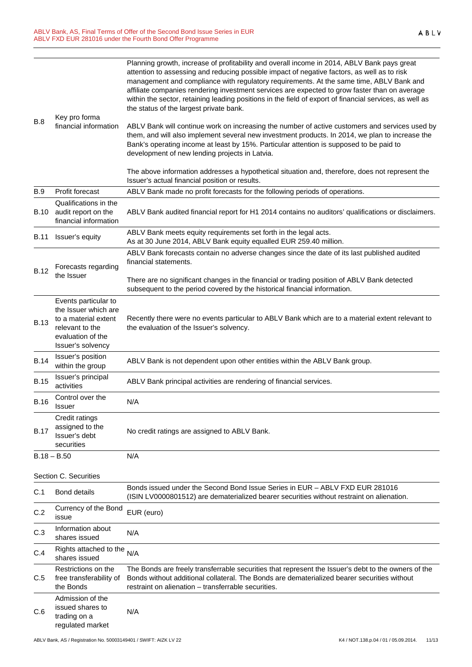| <b>B.8</b>  | Key pro forma<br>financial information                                                                                            | Planning growth, increase of profitability and overall income in 2014, ABLV Bank pays great<br>attention to assessing and reducing possible impact of negative factors, as well as to risk<br>management and compliance with regulatory requirements. At the same time, ABLV Bank and<br>affiliate companies rendering investment services are expected to grow faster than on average<br>within the sector, retaining leading positions in the field of export of financial services, as well as<br>the status of the largest private bank.<br>ABLV Bank will continue work on increasing the number of active customers and services used by |
|-------------|-----------------------------------------------------------------------------------------------------------------------------------|------------------------------------------------------------------------------------------------------------------------------------------------------------------------------------------------------------------------------------------------------------------------------------------------------------------------------------------------------------------------------------------------------------------------------------------------------------------------------------------------------------------------------------------------------------------------------------------------------------------------------------------------|
|             |                                                                                                                                   | them, and will also implement several new investment products. In 2014, we plan to increase the<br>Bank's operating income at least by 15%. Particular attention is supposed to be paid to<br>development of new lending projects in Latvia.                                                                                                                                                                                                                                                                                                                                                                                                   |
|             |                                                                                                                                   | The above information addresses a hypothetical situation and, therefore, does not represent the<br>Issuer's actual financial position or results.                                                                                                                                                                                                                                                                                                                                                                                                                                                                                              |
| B.9         | Profit forecast                                                                                                                   | ABLV Bank made no profit forecasts for the following periods of operations.                                                                                                                                                                                                                                                                                                                                                                                                                                                                                                                                                                    |
| <b>B.10</b> | Qualifications in the<br>audit report on the<br>financial information                                                             | ABLV Bank audited financial report for H1 2014 contains no auditors' qualifications or disclaimers.                                                                                                                                                                                                                                                                                                                                                                                                                                                                                                                                            |
| <b>B.11</b> | Issuer's equity                                                                                                                   | ABLV Bank meets equity requirements set forth in the legal acts.<br>As at 30 June 2014, ABLV Bank equity equalled EUR 259.40 million.                                                                                                                                                                                                                                                                                                                                                                                                                                                                                                          |
| <b>B.12</b> | Forecasts regarding<br>the Issuer                                                                                                 | ABLV Bank forecasts contain no adverse changes since the date of its last published audited<br>financial statements.                                                                                                                                                                                                                                                                                                                                                                                                                                                                                                                           |
|             |                                                                                                                                   | There are no significant changes in the financial or trading position of ABLV Bank detected<br>subsequent to the period covered by the historical financial information.                                                                                                                                                                                                                                                                                                                                                                                                                                                                       |
| <b>B.13</b> | Events particular to<br>the Issuer which are<br>to a material extent<br>relevant to the<br>evaluation of the<br>Issuer's solvency | Recently there were no events particular to ABLV Bank which are to a material extent relevant to<br>the evaluation of the Issuer's solvency.                                                                                                                                                                                                                                                                                                                                                                                                                                                                                                   |
| <b>B.14</b> | Issuer's position<br>within the group                                                                                             | ABLV Bank is not dependent upon other entities within the ABLV Bank group.                                                                                                                                                                                                                                                                                                                                                                                                                                                                                                                                                                     |
| <b>B.15</b> | Issuer's principal<br>activities                                                                                                  | ABLV Bank principal activities are rendering of financial services.                                                                                                                                                                                                                                                                                                                                                                                                                                                                                                                                                                            |
| <b>B.16</b> | Control over the<br><b>Issuer</b>                                                                                                 | N/A                                                                                                                                                                                                                                                                                                                                                                                                                                                                                                                                                                                                                                            |
| <b>B.17</b> | Credit ratings<br>assigned to the<br>Issuer's debt<br>securities                                                                  | No credit ratings are assigned to ABLV Bank.                                                                                                                                                                                                                                                                                                                                                                                                                                                                                                                                                                                                   |
|             | $B.18 - B.50$                                                                                                                     | N/A                                                                                                                                                                                                                                                                                                                                                                                                                                                                                                                                                                                                                                            |
|             | Section C. Securities                                                                                                             |                                                                                                                                                                                                                                                                                                                                                                                                                                                                                                                                                                                                                                                |
| C.1         | <b>Bond details</b>                                                                                                               | Bonds issued under the Second Bond Issue Series in EUR - ABLV FXD EUR 281016<br>(ISIN LV0000801512) are dematerialized bearer securities without restraint on alienation.                                                                                                                                                                                                                                                                                                                                                                                                                                                                      |
| C.2         | Currency of the Bond<br>issue                                                                                                     | EUR (euro)                                                                                                                                                                                                                                                                                                                                                                                                                                                                                                                                                                                                                                     |
| C.3         | Information about<br>shares issued                                                                                                | N/A                                                                                                                                                                                                                                                                                                                                                                                                                                                                                                                                                                                                                                            |
| C.4         | Rights attached to the<br>shares issued                                                                                           | N/A                                                                                                                                                                                                                                                                                                                                                                                                                                                                                                                                                                                                                                            |
| C.5         | Restrictions on the<br>free transferability of<br>the Bonds                                                                       | The Bonds are freely transferrable securities that represent the Issuer's debt to the owners of the<br>Bonds without additional collateral. The Bonds are dematerialized bearer securities without<br>restraint on alienation - transferrable securities.                                                                                                                                                                                                                                                                                                                                                                                      |
| C.6         | Admission of the<br>issued shares to<br>trading on a<br>regulated market                                                          | N/A                                                                                                                                                                                                                                                                                                                                                                                                                                                                                                                                                                                                                                            |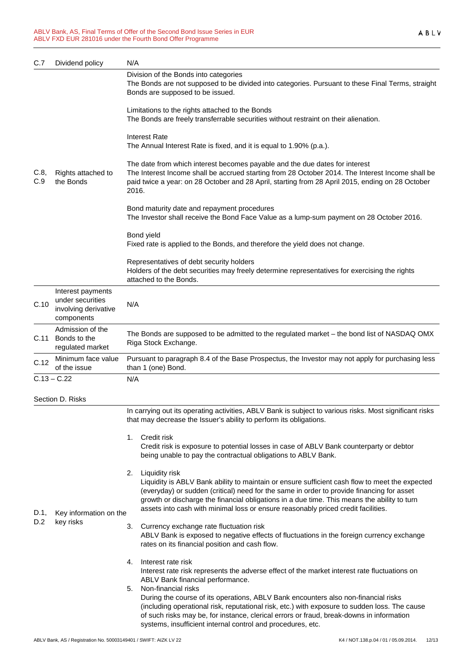| C.7         | Dividend policy                                                             | N/A                                                                                                                                                                                                                                                                                                                                                                                                     |  |
|-------------|-----------------------------------------------------------------------------|---------------------------------------------------------------------------------------------------------------------------------------------------------------------------------------------------------------------------------------------------------------------------------------------------------------------------------------------------------------------------------------------------------|--|
| C.8,<br>C.9 | Rights attached to<br>the Bonds                                             | Division of the Bonds into categories<br>The Bonds are not supposed to be divided into categories. Pursuant to these Final Terms, straight<br>Bonds are supposed to be issued.                                                                                                                                                                                                                          |  |
|             |                                                                             | Limitations to the rights attached to the Bonds<br>The Bonds are freely transferrable securities without restraint on their alienation.                                                                                                                                                                                                                                                                 |  |
|             |                                                                             | Interest Rate<br>The Annual Interest Rate is fixed, and it is equal to 1.90% (p.a.).                                                                                                                                                                                                                                                                                                                    |  |
|             |                                                                             | The date from which interest becomes payable and the due dates for interest<br>The Interest Income shall be accrued starting from 28 October 2014. The Interest Income shall be<br>paid twice a year: on 28 October and 28 April, starting from 28 April 2015, ending on 28 October<br>2016.                                                                                                            |  |
|             |                                                                             | Bond maturity date and repayment procedures<br>The Investor shall receive the Bond Face Value as a lump-sum payment on 28 October 2016.                                                                                                                                                                                                                                                                 |  |
|             |                                                                             | Bond yield<br>Fixed rate is applied to the Bonds, and therefore the yield does not change.                                                                                                                                                                                                                                                                                                              |  |
|             |                                                                             | Representatives of debt security holders<br>Holders of the debt securities may freely determine representatives for exercising the rights<br>attached to the Bonds.                                                                                                                                                                                                                                     |  |
| C.10        | Interest payments<br>under securities<br>involving derivative<br>components | N/A                                                                                                                                                                                                                                                                                                                                                                                                     |  |
| C.11        | Admission of the<br>Bonds to the<br>regulated market                        | The Bonds are supposed to be admitted to the regulated market - the bond list of NASDAQ OMX<br>Riga Stock Exchange.                                                                                                                                                                                                                                                                                     |  |
| C.12        | Minimum face value<br>of the issue                                          | Pursuant to paragraph 8.4 of the Base Prospectus, the Investor may not apply for purchasing less<br>than 1 (one) Bond.                                                                                                                                                                                                                                                                                  |  |
|             | $C.13 - C.22$                                                               | N/A                                                                                                                                                                                                                                                                                                                                                                                                     |  |
|             | Section D. Risks                                                            |                                                                                                                                                                                                                                                                                                                                                                                                         |  |
|             |                                                                             | In carrying out its operating activities, ABLV Bank is subject to various risks. Most significant risks<br>that may decrease the Issuer's ability to perform its obligations.                                                                                                                                                                                                                           |  |
| D.1,        |                                                                             | 1. Credit risk<br>Credit risk is exposure to potential losses in case of ABLV Bank counterparty or debtor<br>being unable to pay the contractual obligations to ABLV Bank.                                                                                                                                                                                                                              |  |
|             | Key information on the                                                      | Liquidity risk<br>2.<br>Liquidity is ABLV Bank ability to maintain or ensure sufficient cash flow to meet the expected<br>(everyday) or sudden (critical) need for the same in order to provide financing for asset<br>growth or discharge the financial obligations in a due time. This means the ability to turn<br>assets into cash with minimal loss or ensure reasonably priced credit facilities. |  |
| D.2         | key risks                                                                   | Currency exchange rate fluctuation risk<br>3.<br>ABLV Bank is exposed to negative effects of fluctuations in the foreign currency exchange<br>rates on its financial position and cash flow.                                                                                                                                                                                                            |  |
|             |                                                                             | Interest rate risk<br>4.<br>Interest rate risk represents the adverse effect of the market interest rate fluctuations on<br>ABLV Bank financial performance.                                                                                                                                                                                                                                            |  |
|             |                                                                             | Non-financial risks<br>5.<br>During the course of its operations, ABLV Bank encounters also non-financial risks<br>(including operational risk, reputational risk, etc.) with exposure to sudden loss. The cause<br>of such risks may be, for instance, clerical errors or fraud, break-downs in information<br>systems, insufficient internal control and procedures, etc.                             |  |